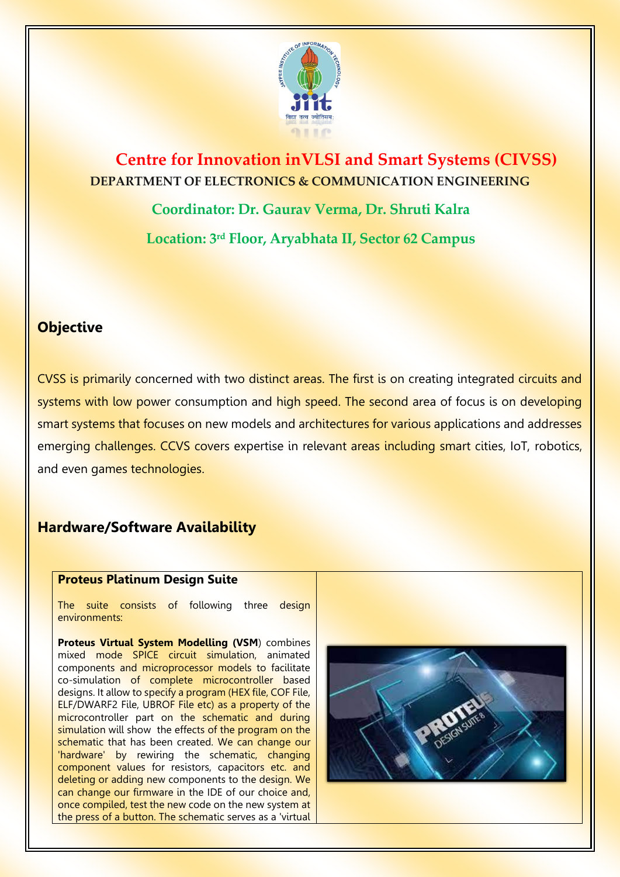

# **Centre for Innovation inVLSI and Smart Systems (CIVSS) DEPARTMENT OF ELECTRONICS & COMMUNICATION ENGINEERING**

**Coordinator: Dr. Gaurav Verma, Dr. Shruti Kalra Location: 3rd Floor, Aryabhata II, Sector 62 Campus** 

### **Objective**

CVSS is primarily concerned with two distinct areas. The first is on creating integrated circuits and systems with low power consumption and high speed. The second area of focus is on developing smart systems that focuses on new models and architectures for various applications and addresses emerging challenges. CCVS covers expertise in relevant areas including smart cities, IoT, robotics, and even games technologies.

## **Hardware/Software Availability**

#### **Proteus Platinum Design Suite**

The suite consists of following three design environments:

**Proteus Virtual System Modelling (VSM**) combines mixed mode SPICE circuit simulation, animated components and microprocessor models to facilitate co-simulation of complete microcontroller based designs. It allow to specify a program (HEX file, COF File, ELF/DWARF2 File, UBROF File etc) as a property of the microcontroller part on the schematic and during simulation will show the effects of the program on the schematic that has been created. We can change our 'hardware' by rewiring the schematic, changing component values for resistors, capacitors etc. and deleting or adding new components to the design. We can change our firmware in the IDE of our choice and, once compiled, test the new code on the new system at the press of a button. The schematic serves as a 'virtual

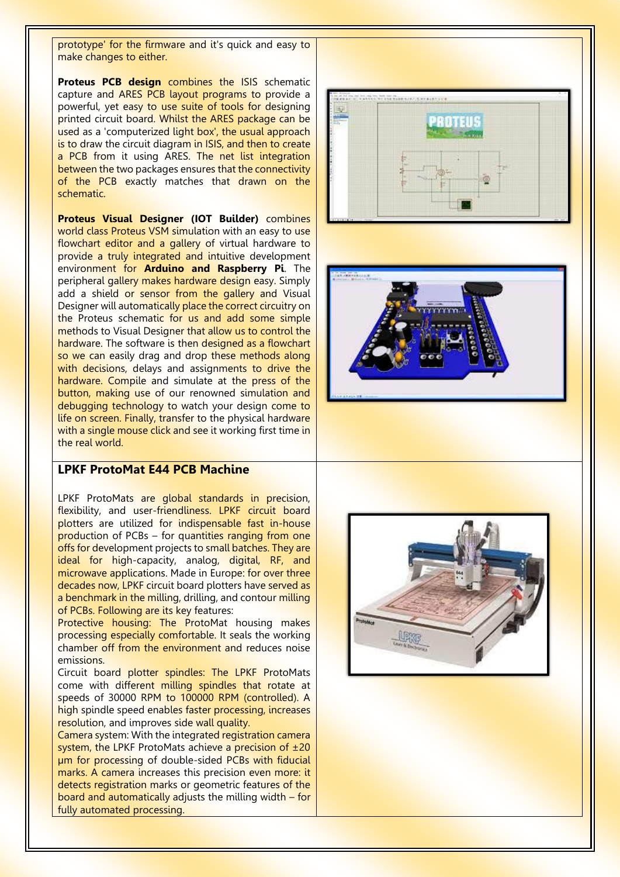prototype' for the firmware and it's quick and easy to make changes to either.

**Proteus PCB design** combines the ISIS schematic capture and ARES PCB layout programs to provide a powerful, yet easy to use suite of tools for designing printed circuit board. Whilst the ARES package can be used as a 'computerized light box', the usual approach is to draw the circuit diagram in ISIS, and then to create a PCB from it using ARES. The net list integration between the two packages ensures that the connectivity of the PCB exactly matches that drawn on the schematic.

**Proteus Visual Designer (IOT Builder)** combines world class Proteus VSM simulation with an easy to use flowchart editor and a gallery of virtual hardware to provide a truly integrated and intuitive development environment for **Arduino and Raspberry Pi**. The peripheral gallery makes hardware design easy. Simply add a shield or sensor from the gallery and Visual Designer will automatically place the correct circuitry on the Proteus schematic for us and add some simple methods to Visual Designer that allow us to control the hardware. The software is then designed as a flowchart so we can easily drag and drop these methods along with decisions, delays and assignments to drive the hardware. Compile and simulate at the press of the button, making use of our renowned simulation and debugging technology to watch your design come to life on screen. Finally, transfer to the physical hardware with a single mouse click and see it working first time in the real world.

#### **LPKF ProtoMat E44 PCB Machine**

LPKF ProtoMats are global standards in precision, flexibility, and user-friendliness. LPKF circuit board plotters are utilized for indispensable fast in-house production of PCBs – for quantities ranging from one offs for development projects to small batches. They are ideal for high-capacity, analog, digital, RF, and microwave applications. Made in Europe: for over three decades now, LPKF circuit board plotters have served as a benchmark in the milling, drilling, and contour milling of PCBs. Following are its key features:

Protective housing: The ProtoMat housing makes processing especially comfortable. It seals the working chamber off from the environment and reduces noise emissions.

Circuit board plotter spindles: The LPKF ProtoMats come with different milling spindles that rotate at speeds of 30000 RPM to 100000 RPM (controlled). A high spindle speed enables faster processing, increases resolution, and improves side wall quality.

Camera system: With the integrated registration camera system, the LPKF ProtoMats achieve a precision of  $\pm 20$ µm for processing of double-sided PCBs with fiducial marks. A camera increases this precision even more: it detects registration marks or geometric features of the board and automatically adjusts the milling width – for fully automated processing.





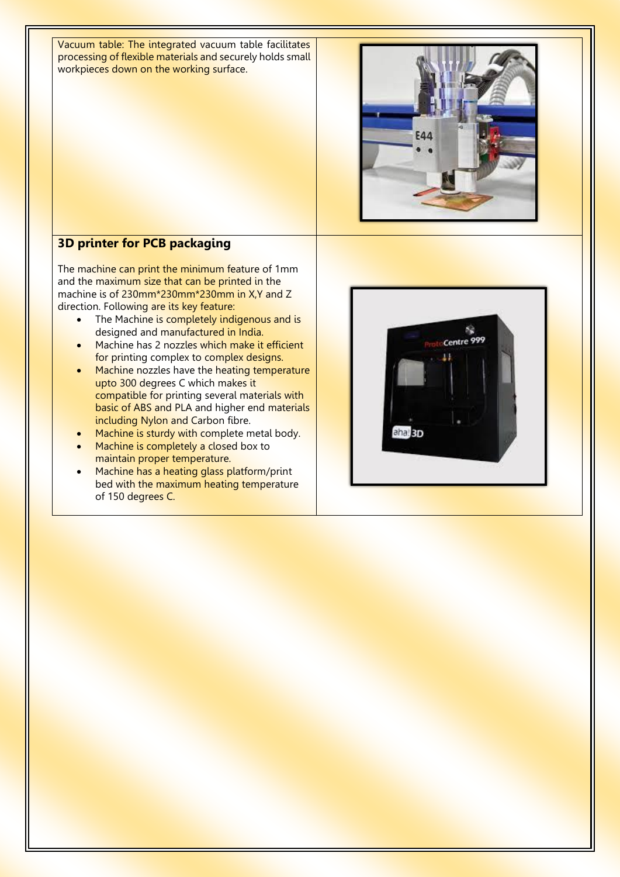Vacuum table: The integrated vacuum table facilitates processing of flexible materials and securely holds small workpieces down on the working surface.



### **3D printer for PCB packaging**

The machine can print the minimum feature of 1mm and the maximum size that can be printed in the machine is of 230mm\*230mm\*230mm in X,Y and Z direction. Following are its key feature:

- The Machine is completely indigenous and is designed and manufactured in India.
- Machine has 2 nozzles which make it efficient for printing complex to complex designs.
- Machine nozzles have the heating temperature upto 300 degrees C which makes it compatible for printing several materials with basic of ABS and PLA and higher end materials including Nylon and Carbon fibre.
- Machine is sturdy with complete metal body.
- Machine is completely a closed box to maintain proper temperature.
- Machine has a heating glass platform/print bed with the maximum heating temperature of 150 degrees C.